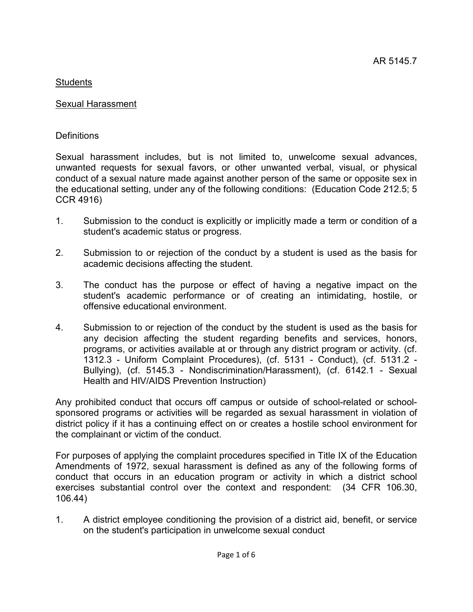# Sexual Harassment

# **Definitions**

Sexual harassment includes, but is not limited to, unwelcome sexual advances, unwanted requests for sexual favors, or other unwanted verbal, visual, or physical conduct of a sexual nature made against another person of the same or opposite sex in the educational setting, under any of the following conditions: (Education Code 212.5; 5 CCR 4916)

- 1. Submission to the conduct is explicitly or implicitly made a term or condition of a student's academic status or progress.
- 2. Submission to or rejection of the conduct by a student is used as the basis for academic decisions affecting the student.
- 3. The conduct has the purpose or effect of having a negative impact on the student's academic performance or of creating an intimidating, hostile, or offensive educational environment.
- 4. Submission to or rejection of the conduct by the student is used as the basis for any decision affecting the student regarding benefits and services, honors, programs, or activities available at or through any district program or activity. (cf. 1312.3 - Uniform Complaint Procedures), (cf. 5131 - Conduct), (cf. 5131.2 - Bullying), (cf. 5145.3 - Nondiscrimination/Harassment), (cf. 6142.1 - Sexual Health and HIV/AIDS Prevention Instruction)

Any prohibited conduct that occurs off campus or outside of school-related or schoolsponsored programs or activities will be regarded as sexual harassment in violation of district policy if it has a continuing effect on or creates a hostile school environment for the complainant or victim of the conduct.

For purposes of applying the complaint procedures specified in Title IX of the Education Amendments of 1972, sexual harassment is defined as any of the following forms of conduct that occurs in an education program or activity in which a district school exercises substantial control over the context and respondent: (34 CFR 106.30, 106.44)

1. A district employee conditioning the provision of a district aid, benefit, or service on the student's participation in unwelcome sexual conduct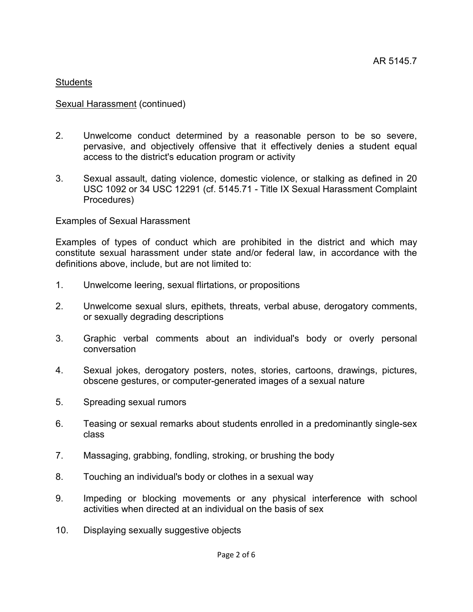#### Sexual Harassment (continued)

- 2. Unwelcome conduct determined by a reasonable person to be so severe, pervasive, and objectively offensive that it effectively denies a student equal access to the district's education program or activity
- 3. Sexual assault, dating violence, domestic violence, or stalking as defined in 20 USC 1092 or 34 USC 12291 (cf. 5145.71 - Title IX Sexual Harassment Complaint Procedures)

#### Examples of Sexual Harassment

Examples of types of conduct which are prohibited in the district and which may constitute sexual harassment under state and/or federal law, in accordance with the definitions above, include, but are not limited to:

- 1. Unwelcome leering, sexual flirtations, or propositions
- 2. Unwelcome sexual slurs, epithets, threats, verbal abuse, derogatory comments, or sexually degrading descriptions
- 3. Graphic verbal comments about an individual's body or overly personal conversation
- 4. Sexual jokes, derogatory posters, notes, stories, cartoons, drawings, pictures, obscene gestures, or computer-generated images of a sexual nature
- 5. Spreading sexual rumors
- 6. Teasing or sexual remarks about students enrolled in a predominantly single-sex class
- 7. Massaging, grabbing, fondling, stroking, or brushing the body
- 8. Touching an individual's body or clothes in a sexual way
- 9. Impeding or blocking movements or any physical interference with school activities when directed at an individual on the basis of sex
- 10. Displaying sexually suggestive objects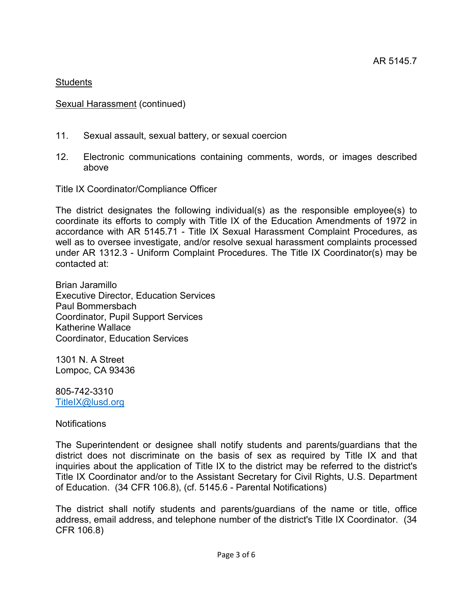# Sexual Harassment (continued)

- 11. Sexual assault, sexual battery, or sexual coercion
- 12. Electronic communications containing comments, words, or images described above

Title IX Coordinator/Compliance Officer

The district designates the following individual(s) as the responsible employee(s) to coordinate its efforts to comply with Title IX of the Education Amendments of 1972 in accordance with AR 5145.71 - Title IX Sexual Harassment Complaint Procedures, as well as to oversee investigate, and/or resolve sexual harassment complaints processed under AR 1312.3 - Uniform Complaint Procedures. The Title IX Coordinator(s) may be contacted at:

Brian Jaramillo Executive Director, Education Services Paul Bommersbach Coordinator, Pupil Support Services Katherine Wallace Coordinator, Education Services

1301 N. A Street Lompoc, CA 93436

805-742-3310 [TitleIX@lusd.org](mailto:TitleIX@lusd.org)

Notifications

The Superintendent or designee shall notify students and parents/guardians that the district does not discriminate on the basis of sex as required by Title IX and that inquiries about the application of Title IX to the district may be referred to the district's Title IX Coordinator and/or to the Assistant Secretary for Civil Rights, U.S. Department of Education. (34 CFR 106.8), (cf. 5145.6 - Parental Notifications)

The district shall notify students and parents/guardians of the name or title, office address, email address, and telephone number of the district's Title IX Coordinator. (34 CFR 106.8)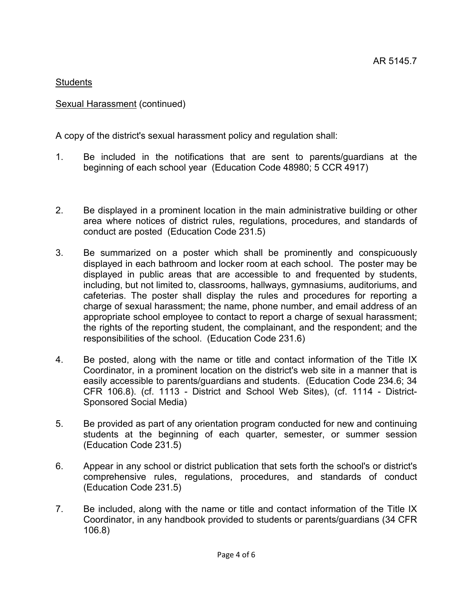# Sexual Harassment (continued)

A copy of the district's sexual harassment policy and regulation shall:

- 1. Be included in the notifications that are sent to parents/guardians at the beginning of each school year (Education Code 48980; 5 CCR 4917)
- 2. Be displayed in a prominent location in the main administrative building or other area where notices of district rules, regulations, procedures, and standards of conduct are posted (Education Code 231.5)
- 3. Be summarized on a poster which shall be prominently and conspicuously displayed in each bathroom and locker room at each school. The poster may be displayed in public areas that are accessible to and frequented by students, including, but not limited to, classrooms, hallways, gymnasiums, auditoriums, and cafeterias. The poster shall display the rules and procedures for reporting a charge of sexual harassment; the name, phone number, and email address of an appropriate school employee to contact to report a charge of sexual harassment; the rights of the reporting student, the complainant, and the respondent; and the responsibilities of the school. (Education Code 231.6)
- 4. Be posted, along with the name or title and contact information of the Title IX Coordinator, in a prominent location on the district's web site in a manner that is easily accessible to parents/guardians and students. (Education Code 234.6; 34 CFR 106.8). (cf. 1113 - District and School Web Sites), (cf. 1114 - District-Sponsored Social Media)
- 5. Be provided as part of any orientation program conducted for new and continuing students at the beginning of each quarter, semester, or summer session (Education Code 231.5)
- 6. Appear in any school or district publication that sets forth the school's or district's comprehensive rules, regulations, procedures, and standards of conduct (Education Code 231.5)
- 7. Be included, along with the name or title and contact information of the Title IX Coordinator, in any handbook provided to students or parents/guardians (34 CFR 106.8)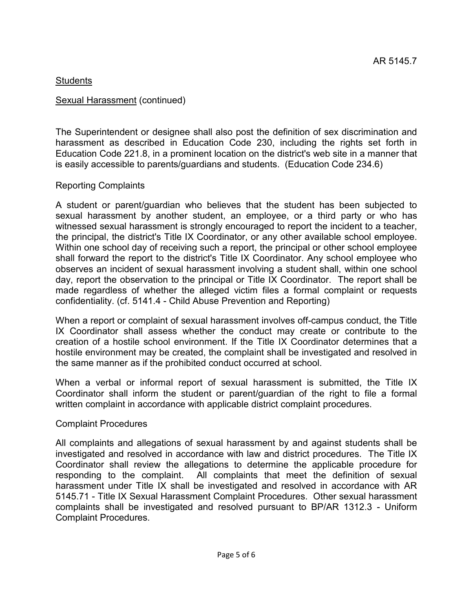#### Sexual Harassment (continued)

The Superintendent or designee shall also post the definition of sex discrimination and harassment as described in Education Code 230, including the rights set forth in Education Code 221.8, in a prominent location on the district's web site in a manner that is easily accessible to parents/guardians and students. (Education Code 234.6)

### Reporting Complaints

A student or parent/guardian who believes that the student has been subjected to sexual harassment by another student, an employee, or a third party or who has witnessed sexual harassment is strongly encouraged to report the incident to a teacher, the principal, the district's Title IX Coordinator, or any other available school employee. Within one school day of receiving such a report, the principal or other school employee shall forward the report to the district's Title IX Coordinator. Any school employee who observes an incident of sexual harassment involving a student shall, within one school day, report the observation to the principal or Title IX Coordinator. The report shall be made regardless of whether the alleged victim files a formal complaint or requests confidentiality. (cf. 5141.4 - Child Abuse Prevention and Reporting)

When a report or complaint of sexual harassment involves off-campus conduct, the Title IX Coordinator shall assess whether the conduct may create or contribute to the creation of a hostile school environment. If the Title IX Coordinator determines that a hostile environment may be created, the complaint shall be investigated and resolved in the same manner as if the prohibited conduct occurred at school.

When a verbal or informal report of sexual harassment is submitted, the Title IX Coordinator shall inform the student or parent/guardian of the right to file a formal written complaint in accordance with applicable district complaint procedures.

#### Complaint Procedures

All complaints and allegations of sexual harassment by and against students shall be investigated and resolved in accordance with law and district procedures. The Title IX Coordinator shall review the allegations to determine the applicable procedure for responding to the complaint. All complaints that meet the definition of sexual harassment under Title IX shall be investigated and resolved in accordance with AR 5145.71 - Title IX Sexual Harassment Complaint Procedures. Other sexual harassment complaints shall be investigated and resolved pursuant to BP/AR 1312.3 - Uniform Complaint Procedures.